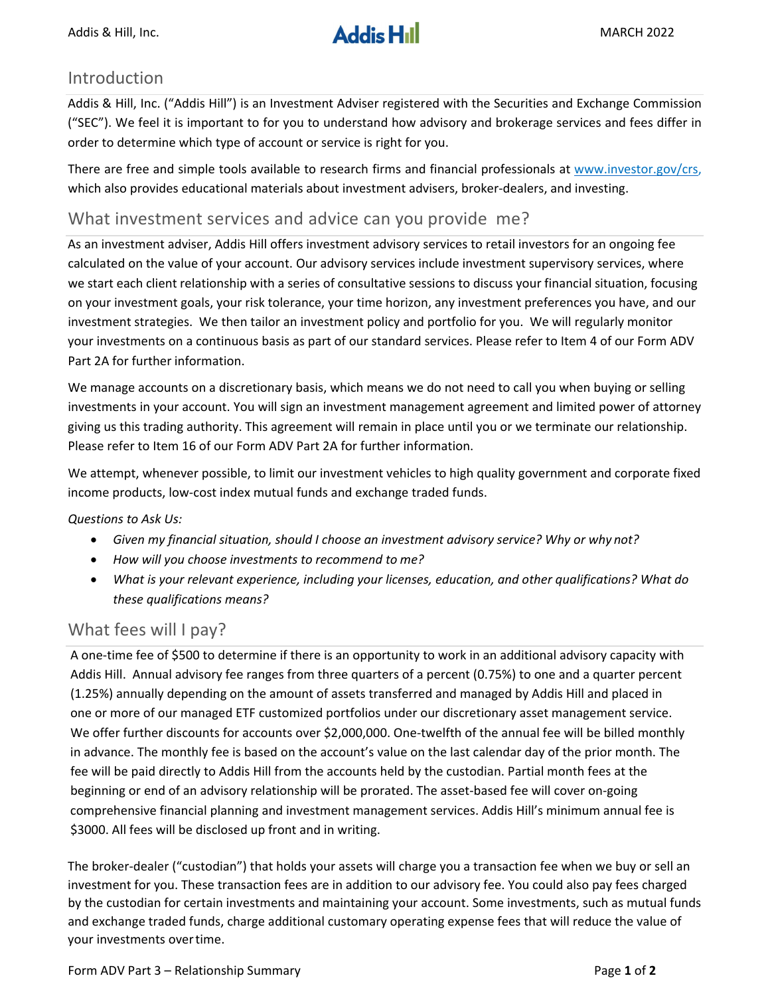### Introduction

Addis & Hill, Inc. ("Addis Hill") is an Investment Adviser registered with the Securities and Exchange Commission ("SEC"). We feel it is important to for you to understand how advisory and brokerage services and fees differ in order to determine which type of account or service is right for you.

There are free and simple tools available to research firms and financial professionals at www.investor.gov/crs, which also provides educational materials about investment advisers, broker-dealers, and investing.

### What investment services and advice can you provide me?

As an investment adviser, Addis Hill offers investment advisory services to retail investors for an ongoing fee calculated on the value of your account. Our advisory services include investment supervisory services, where we start each client relationship with a series of consultative sessions to discuss your financial situation, focusing on your investment goals, your risk tolerance, your time horizon, any investment preferences you have, and our investment strategies. We then tailor an investment policy and portfolio for you. We will regularly monitor your investments on a continuous basis as part of our standard services. Please refer to Item 4 of our Form ADV Part 2A for further information.

We manage accounts on a discretionary basis, which means we do not need to call you when buying or selling investments in your account. You will sign an investment management agreement and limited power of attorney giving us this trading authority. This agreement will remain in place until you or we terminate our relationship. Please refer to Item 16 of our Form ADV Part 2A for further information.

We attempt, whenever possible, to limit our investment vehicles to high quality government and corporate fixed income products, low‐cost index mutual funds and exchange traded funds.

*Questions to Ask Us:*

- *Given my financial situation, should I choose an investment advisory service? Why or why not?*
- *How will you choose investments to recommend to me?*
- *What is your relevant experience, including your licenses, education, and other qualifications? What do these qualifications means?*

# What fees will I pay?

A one‐time fee of \$500 to determine if there is an opportunity to work in an additional advisory capacity with Addis Hill. Annual advisory fee ranges from three quarters of a percent (0.75%) to one and a quarter percent (1.25%) annually depending on the amount of assets transferred and managed by Addis Hill and placed in one or more of our managed ETF customized portfolios under our discretionary asset management service. We offer further discounts for accounts over \$2,000,000. One-twelfth of the annual fee will be billed monthly in advance. The monthly fee is based on the account's value on the last calendar day of the prior month. The fee will be paid directly to Addis Hill from the accounts held by the custodian. Partial month fees at the beginning or end of an advisory relationship will be prorated. The asset-based fee will cover on-going comprehensive financial planning and investment management services. Addis Hill's minimum annual fee is \$3000. All fees will be disclosed up front and in writing.

The broker‐dealer ("custodian") that holds your assets will charge you a transaction fee when we buy or sell an investment for you. These transaction fees are in addition to our advisory fee. You could also pay fees charged by the custodian for certain investments and maintaining your account. Some investments, such as mutual funds and exchange traded funds, charge additional customary operating expense fees that will reduce the value of your investments overtime.